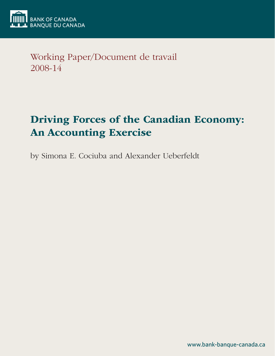

Working Paper/Document de travail 2008-14

# Driving Forces of the Canadian Economy: An Accounting Exercise

by Simona E. Cociuba and Alexander Ueberfeldt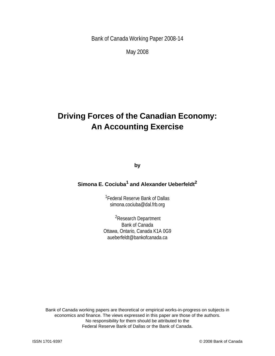Bank of Canada Working Paper 2008-14

May 2008

## **Driving Forces of the Canadian Economy: An Accounting Exercise**

**by**

## **Simona E. Cociuba<sup>1</sup> and Alexander Ueberfeldt<sup>2</sup>**

<sup>1</sup> Federal Reserve Bank of Dallas simona.cociuba@dal.frb.org

2Research Department Bank of Canada Ottawa, Ontario, Canada K1A 0G9 aueberfeldt@bankofcanada.ca

Bank of Canada working papers are theoretical or empirical works-in-progress on subjects in economics and finance. The views expressed in this paper are those of the authors. No responsibility for them should be attributed to the Federal Reserve Bank of Dallas or the Bank of Canada.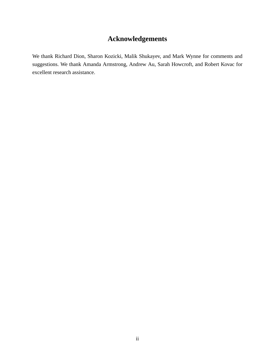## **Acknowledgements**

We thank Richard Dion, Sharon Kozicki, Malik Shukayev, and Mark Wynne for comments and suggestions. We thank Amanda Armstrong, Andrew Au, Sarah Howcroft, and Robert Kovac for excellent research assistance.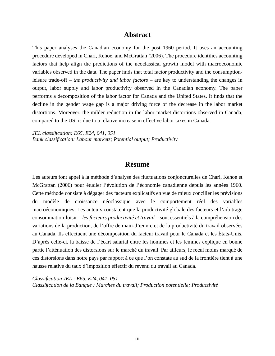### **Abstract**

This paper analyses the Canadian economy for the post 1960 period. It uses an accounting procedure developed in Chari, Kehoe, and McGrattan (2006). The procedure identifies accounting factors that help align the predictions of the neoclassical growth model with macroeconomic variables observed in the data. The paper finds that total factor productivity and the consumptionleisure trade-off – *the productivity and labor factors* – are key to understanding the changes in output, labor supply and labor productivity observed in the Canadian economy. The paper performs a decomposition of the labor factor for Canada and the United States. It finds that the decline in the gender wage gap is a major driving force of the decrease in the labor market distortions. Moreover, the milder reduction in the labor market distortions observed in Canada, compared to the US, is due to a relative increase in effective labor taxes in Canada.

*JEL classification: E65, E24, 041, 051 Bank classification: Labour markets; Potential output; Productivity*

## **Résumé**

Les auteurs font appel à la méthode d'analyse des fluctuations conjoncturelles de Chari, Kehoe et McGrattan (2006) pour étudier l'évolution de l'économie canadienne depuis les années 1960. Cette méthode consiste à dégager des facteurs explicatifs en vue de mieux concilier les prévisions du modèle de croissance néoclassique avec le comportement réel des variables macroéconomiques. Les auteurs constatent que la productivité globale des facteurs et l'arbitrage consommation-loisir – *les facteurs productivité et travail* – sont essentiels à la compréhension des variations de la production, de l'offre de main-d'œuvre et de la productivité du travail observées au Canada. Ils effectuent une décomposition du facteur travail pour le Canada et les États-Unis. D'après celle-ci, la baisse de l'écart salarial entre les hommes et les femmes explique en bonne partie l'atténuation des distorsions sur le marché du travail. Par ailleurs, le recul moins marqué de ces distorsions dans notre pays par rapport à ce que l'on constate au sud de la frontière tient à une hausse relative du taux d'imposition effectif du revenu du travail au Canada.

*Classification JEL : E65, E24, 041, 051 Classification de la Banque : Marchés du travail; Production potentielle; Productivité*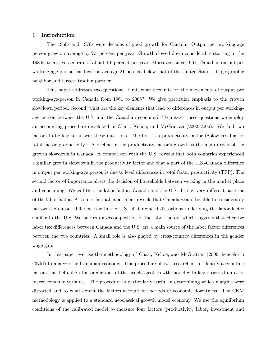#### 1 Introduction

The 1960s and 1970s were decades of good growth for Canada. Output per working-age person grew on average by 2.5 percent per year. Growth slowed down considerably starting in the 1980s, to an average rate of about 1.6 percent per year. Moreover, since 1961, Canadian output per working-age person has been on average 21 percent below that of the United States, its geographic neighbor and largest trading partner.

This paper addresses two questions. First, what accounts for the movements of output per working-age-person in Canada from 1961 to 2005? We give particular emphasis to the growth slowdown period. Second, what are the key elements that lead to differences in output per workingage person between the U.S. and the Canadian economy? To answer these questions we employ an accounting procedure developed in Chari, Kehoe, and McGrattan (2002, 2006). We find two factors to be key to answer these questions. The first is a productivity factor (Solow residual or total factor productivity). A decline in the productivity factor's growth is the main driver of the growth slowdown in Canada. A comparison with the U.S. reveals that both countries experienced a similar growth slowdown in the productivity factor and that a part of the U.S.-Canada difference in output per working-age person is due to level differences in total factor productivity (TFP). The second factor of importance alters the decision of households between working in the market place and consuming. We call this the labor factor. Canada and the U.S. display very different patterns of the labor factor. A counterfactual experiment reveals that Canada would be able to considerably narrow the output differences with the U.S., if it reduced distortions underlying the labor factor similar to the U.S. We perform a decomposition of the labor factors which suggests that effective labor tax differences between Canada and the U.S. are a main source of the labor factor differences between the two countries. A small role is also played by cross-country differences in the gender wage gap.

In this paper, we use the methodology of Chari, Kehoe, and McGrattan (2006, henceforth CKM) to analyze the Canadian economy. This procedure allows researchers to identify accounting factors that help align the predictions of the neoclassical growth model with key observed data for macroeconomic variables. The procedure is particularly useful in determining which margins were distorted and to what extent the factors account for periods of economic downturns. The CKM methodology is applied to a standard neoclassical growth model economy. We use the equilibrium conditions of the calibrated model to measure four factors (productivity, labor, investment and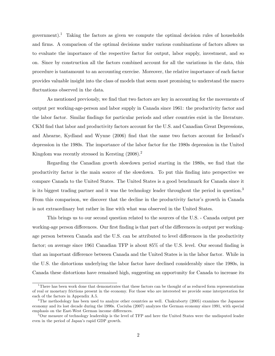government).<sup>1</sup> Taking the factors as given we compute the optimal decision rules of households and firms. A comparison of the optimal decisions under various combinations of factors allows us to evaluate the importance of the respective factor for output, labor supply, investment, and so on. Since by construction all the factors combined account for all the variations in the data, this procedure is tantamount to an accounting exercise. Moreover, the relative importance of each factor provides valuable insight into the class of models that seem most promising to understand the macro fluctuations observed in the data.

As mentioned previously, we find that two factors are key in accounting for the movements of output per working-age-person and labor supply in Canada since 1961: the productivity factor and the labor factor. Similar findings for particular periods and other countries exist in the literature. CKM find that labor and productivity factors account for the U.S. and Canadian Great Depressions, and Ahearne, Kydland and Wynne (2006) find that the same two factors account for Ireland's depression in the 1980s. The importance of the labor factor for the 1980s depression in the United Kingdom was recently stressed in Kersting  $(2008).$ <sup>2</sup>

Regarding the Canadian growth slowdown period starting in the 1980s, we find that the productivity factor is the main source of the slowdown. To put this finding into perspective we compare Canada to the United States. The United States is a good benchmark for Canada since it is its biggest trading partner and it was the technology leader throughout the period in question.<sup>3</sup> From this comparison, we discover that the decline in the productivity factor's growth in Canada is not extraordinary but rather in line with what was observed in the United States.

This brings us to our second question related to the sources of the U.S. - Canada output per working-age person differences. Our first finding is that part of the differences in output per workingage person between Canada and the U.S. can be attributed to level differences in the productivity factor; on average since 1961 Canadian TFP is about 85% of the U.S. level. Our second finding is that an important difference between Canada and the United States is in the labor factor. While in the U.S. the distortions underlying the labor factor have declined considerably since the 1980s, in Canada these distortions have remained high, suggesting an opportunity for Canada to increase its

<sup>&</sup>lt;sup>1</sup>There has been work done that demonstrates that these factors can be thought of as reduced form representations of real or monetary frictions present in the economy. For those who are interested we provide some interpretation for each of the factors in Appendix A.5.

<sup>&</sup>lt;sup>2</sup>The methodology has been used to analyze other countries as well. Chakraborty (2005) examines the Japanese economy and its lost decade during the 1990s. Cociuba (2007) analyzes the German economy since 1991, with special emphasis on the East-West German income differences.

<sup>&</sup>lt;sup>3</sup>Our measure of technology leadership is the level of TFP and here the United States were the undisputed leader even in the period of Japan's rapid GDP growth.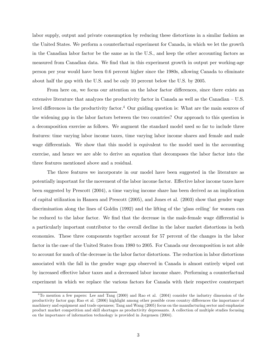labor supply, output and private consumption by reducing these distortions in a similar fashion as the United States. We perform a counterfactual experiment for Canada, in which we let the growth in the Canadian labor factor be the same as in the U.S., and keep the other accounting factors as measured from Canadian data. We find that in this experiment growth in output per working-age person per year would have been 0.6 percent higher since the 1980s, allowing Canada to eliminate about half the gap with the U.S. and be only 10 percent below the U.S. by 2005.

From here on, we focus our attention on the labor factor differences, since there exists an extensive literature that analyzes the productivity factor in Canada as well as the Canadian — U.S. level differences in the productivity factor.<sup>4</sup> Our guiding question is: What are the main sources of the widening gap in the labor factors between the two countries? Our approach to this question is a decomposition exercise as follows. We augment the standard model used so far to include three features: time varying labor income taxes, time varying labor income shares and female and male wage differentials. We show that this model is equivalent to the model used in the accounting exercise, and hence we are able to derive an equation that decomposes the labor factor into the three features mentioned above and a residual.

The three features we incorporate in our model have been suggested in the literature as potentially important for the movement of the labor income factor. Effective labor income taxes have been suggested by Prescott (2004), a time varying income share has been derived as an implication of capital utilization in Hansen and Prescott (2005), and Jones et al. (2003) show that gender wage discrimination along the lines of Goldin (1992) and the lifting of the 'glass ceiling' for women can be reduced to the labor factor. We find that the decrease in the male-female wage differential is a particularly important contributor to the overall decline in the labor market distortions in both economies. These three components together account for 57 percent of the changes in the labor factor in the case of the United States from 1980 to 2005. For Canada our decomposition is not able to account for much of the decrease in the labor factor distortions. The reduction in labor distortions associated with the fall in the gender wage gap observed in Canada is almost entirely wiped out by increased effective labor taxes and a decreased labor income share. Performing a counterfactual experiment in which we replace the various factors for Canada with their respective counterpart

<sup>4</sup>To mention a few papers: Lee and Tang (2000) and Rao et al. (2004) consider the industry dimension of the productivity factor gap; Rao et al. (2006) highlight among other possible cross country differences the importance of machinery and equipment and trade openness; Tang and Wang (2005) focus on the manufacturing sector and emphasize product market competition and skill shortages as productivity depressants. A collection of multiple studies focusing on the importance of information technology is provided in Jorgensen (2004).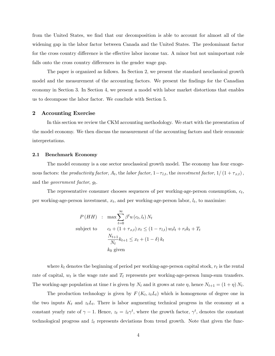from the United States, we find that our decomposition is able to account for almost all of the widening gap in the labor factor between Canada and the United States. The predominant factor for the cross country difference is the effective labor income tax. A minor but not unimportant role falls onto the cross country differences in the gender wage gap.

The paper is organized as follows. In Section 2, we present the standard neoclassical growth model and the measurement of the accounting factors. We present the findings for the Canadian economy in Section 3. In Section 4, we present a model with labor market distortions that enables us to decompose the labor factor. We conclude with Section 5.

#### 2 Accounting Exercise

In this section we review the CKM accounting methodology. We start with the presentation of the model economy. We then discuss the measurement of the accounting factors and their economic interpretations.

#### 2.1 Benchmark Economy

The model economy is a one sector neoclassical growth model. The economy has four exogenous factors: the productivity factor,  $A_t$ , the labor factor,  $1-\tau_{l,t}$ , the investment factor,  $1/(1+\tau_{x,t})$ , and the *government* factor,  $g_t$ .

The representative consumer chooses sequences of per working-age-person consumption,  $c_t$ , per working-age-person investment,  $x_t$ , and per working-age-person labor,  $l_t$ , to maximize:

$$
P(HH) : \max \sum_{t=0}^{\infty} \beta^t u(c_t, l_t) N_t
$$
  
subject to 
$$
c_t + (1 + \tau_{x,t}) x_t \le (1 - \tau_{l,t}) w_t l_t + r_t k_t + T_t
$$

$$
\frac{N_{t+1}}{N_t} k_{t+1} \le x_t + (1 - \delta) k_t
$$

$$
k_0 \text{ given}
$$

where  $k_t$  denotes the beginning of period per working-age-person capital stock,  $r_t$  is the rental rate of capital,  $w_t$  is the wage rate and  $T_t$  represents per working-age-person lump-sum transfers. The working-age population at time t is given by  $N_t$  and it grows at rate  $\eta$ , hence  $N_{t+1} = (1 + \eta) N_t$ .

The production technology is given by  $F(K_t, z_t L_t)$  which is homogenous of degree one in the two inputs  $K_t$  and  $z_tL_t$ . There is labor augmenting technical progress in the economy at a constant yearly rate of  $\gamma - 1$ . Hence,  $z_t = \hat{z}_t \gamma^t$ , where the growth factor,  $\gamma^t$ , denotes the constant technological progress and  $\hat{z}_t$  represents deviations from trend growth. Note that given the func-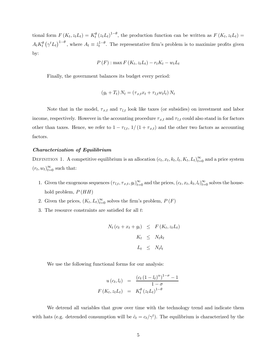tional form  $F(K_t, z_t L_t) = K_t^{\theta} (z_t L_t)^{1-\theta}$ , the production function can be written as  $F(K_t, z_t L_t) =$  $A_t K_t^{\theta} (\gamma^t L_t)^{1-\theta}$ , where  $A_t \equiv \hat{z}_t^{1-\theta}$ . The representative firm's problem is to maximize profits given by:

$$
P(F): \max F(K_t, z_t L_t) - r_t K_t - w_t L_t
$$

Finally, the government balances its budget every period:

$$
(g_t + T_t) N_t = (\tau_{x,t} x_t + \tau_{l,t} w_t l_t) N_t
$$

Note that in the model,  $\tau_{x,t}$  and  $\tau_{l,t}$  look like taxes (or subsidies) on investment and labor income, respectively. However in the accounting procedure  $\tau_{x,t}$  and  $\tau_{l,t}$  could also stand in for factors other than taxes. Hence, we refer to  $1 - \tau_{l,t}$ ,  $1/(1 + \tau_{x,t})$  and the other two factors as accounting factors.

#### Characterization of Equilibrium

DEFINITION 1. A competitive equilibrium is an allocation  $(c_t, x_t, k_t, l_t, K_t, L_t)_{t=0}^{\infty}$  and a price system  $(r_t, w_t)_{t=0}^{\infty}$  such that:

- 1. Given the exogenous sequences  $(\tau_{l,t}, \tau_{x,t}, g_t)_{t=0}^{\infty}$  and the prices,  $(c_t, x_t, k_t, l_t)_{t=0}^{\infty}$  solves the household problem,  $P(HH)$
- 2. Given the prices,  $(K_t, L_t)_{t=0}^{\infty}$  solves the firm's problem,  $P(F)$
- 3. The resource constraints are satisfied for all t:

$$
N_t (c_t + x_t + g_t) \leq F(K_t, z_t L_t)
$$
  

$$
K_t \leq N_t k_t
$$
  

$$
L_t \leq N_t l_t
$$

We use the following functional forms for our analysis:

$$
u(c_t, l_t) = \frac{(c_t (1 - l_t)^{\alpha})^{1 - \sigma} - 1}{1 - \sigma}
$$

$$
F(K_t, z_t L_t) = K_t^{\theta} (z_t L_t)^{1 - \theta}
$$

We detrend all variables that grow over time with the technology trend and indicate them with hats (e.g. detrended consumption will be  $\hat{c}_t = c_t/\gamma^t$ ). The equilibrium is characterized by the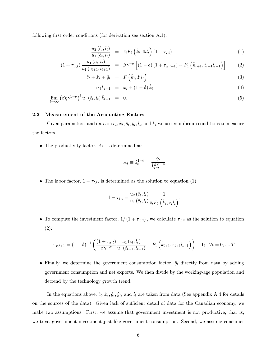following first order conditions (for derivation see section A.1):

$$
\frac{u_2\left(\hat{c}_t, l_t\right)}{u_1\left(\hat{c}_t, l_t\right)} = \hat{z}_t F_2\left(\hat{k}_t, \hat{z}_t l_t\right) \left(1 - \tau_{l,t}\right) \tag{1}
$$

$$
(1 + \tau_{x,t}) \frac{u_1(\hat{c}_t, l_t)}{u_1(\hat{c}_{t+1}, l_{t+1})} = \beta \gamma^{-\sigma} \left[ (1 - \delta) (1 + \tau_{x,t+1}) + F_1 \left( \hat{k}_{t+1}, \hat{z}_{t+1} l_{t+1} \right) \right] \tag{2}
$$

$$
\hat{c}_t + \hat{x}_t + \hat{g}_t = F\left(\hat{k}_t, \hat{z}_t,_t\right) \tag{3}
$$

$$
\eta \gamma \hat{k}_{t+1} = \hat{x}_t + (1 - \delta) \hat{k}_t \tag{4}
$$

$$
\lim_{t \to \infty} \left(\beta \eta \gamma^{1-\sigma}\right)^t u_1 \left(\hat{c}_t, l_t\right) \hat{k}_{t+1} = 0. \tag{5}
$$

#### 2.2 Measurement of the Accounting Factors

Given parameters, and data on  $\hat{c}_t$ ,  $\hat{x}_t$ ,  $\hat{g}_t$ ,  $\hat{y}_t$ ,  $l_t$ , and  $\hat{k}_t$  we use equilibrium conditions to measure the factors.

• The productivity factor,  $A_t$ , is determined as:

$$
A_t \equiv \hat{z}_t^{1-\theta} = \frac{\hat{y}_t}{\hat{k}_t^{\theta} l_t^{1-\theta}}
$$

• The labor factor,  $1 - \tau_{l,t}$ , is determined as the solution to equation (1):

$$
1 - \tau_{l,t} = \frac{u_2(\hat{c}_t, l_t)}{u_1(\hat{c}_t, l_t)} \frac{1}{\hat{z}_t F_2(\hat{k}_t, \hat{z}_t l_t)}.
$$

• To compute the investment factor,  $1/(1+\tau_{x,t})$ , we calculate  $\tau_{x,t}$  as the solution to equation (2):

$$
\tau_{x,t+1} = (1 - \delta)^{-1} \left( \frac{(1 + \tau_{x,t})}{\beta \gamma^{-\sigma}} \frac{u_1(\hat{c}_t, l_t)}{u_1(\hat{c}_{t+1}, l_{t+1})} - F_1\left(\hat{k}_{t+1}, \hat{z}_{t+1} l_{t+1}\right) \right) - 1; \quad \forall t = 0, ..., T.
$$

• Finally, we determine the government consumption factor,  $\hat{g}_t$  directly from data by adding government consumption and net exports. We then divide by the working-age population and detrend by the technology growth trend.

In the equations above,  $\hat{c}_t$ ,  $\hat{x}_t$ ,  $\hat{y}_t$ ,  $\hat{y}_t$ , and  $l_t$  are taken from data (See appendix A.4 for details on the sources of the data). Given lack of sufficient detail of data for the Canadian economy, we make two assumptions. First, we assume that government investment is not productive; that is, we treat government investment just like government consumption. Second, we assume consumer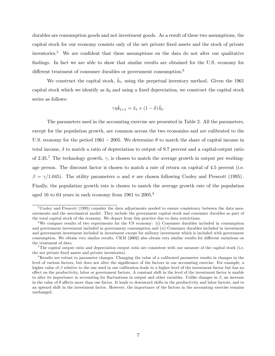durables are consumption goods and not investment goods. As a result of these two assumptions, the capital stock for our economy consists only of the net private fixed assets and the stock of private inventories.<sup>5</sup> We are confident that these assumptions on the data do not alter our qualitative findings. In fact we are able to show that similar results are obtained for the U.S. economy for different treatment of consumer durables or government consumption.<sup>6</sup>

We construct the capital stock,  $\hat{k}_t$ , using the perpetual inventory method. Given the 1961 capital stock which we identify as  $k_0$  and using a fixed depreciation, we construct the capital stock series as follows:

$$
\gamma \eta \hat{k}_{t+1} = \hat{x}_t + (1 - \delta) \hat{k}_t.
$$

The parameters used in the accounting exercise are presented in Table 2. All the parameters, except for the population growth, are common across the two economies and are calibrated to the U.S. economy for the period 1961 – 2005. We determine  $\theta$  to match the share of capital income in total income,  $\delta$  to match a ratio of depreciation to output of 9.7 percent and a capital-output ratio of 2.35.<sup>7</sup> The technology growth,  $\gamma$ , is chosen to match the average growth in output per workingage person. The discount factor is chosen to match a rate of return on capital of 4.5 percent (i.e.  $β = \gamma/1.045$ . The utility parameters α and σ are chosen following Cooley and Prescott (1995). Finally, the population growth rate is chosen to match the average growth rate of the population aged 16 to 64 years in each economy from 1961 to 2005.<sup>8</sup>

 $5C_{\text{e}}$  Cooley and Prescott (1995) consider the data adjustments needed to ensure consistency between the data measurements and the neoclassical model. They include the government capital stock and consumer durables as part of the total capital stock of the economy. We depart from this practice due to data restrictions.

<sup>&</sup>lt;sup>6</sup>We compare results of two experiments for the US economy: (i) Consumer durables included in consumption and government investment included in governmeny consumption and (ii) Consumer durables included in investment and government investment included in investment except for military investment which is included with government consumption. We obtain very similar results. CKM (2002) also obtain very similar results for different variations on the treatment of data.

<sup>&</sup>lt;sup>7</sup>The capital output ratio and depreciation output ratio are consistent with our measure of the capital stock (i.e. the net private fixed assets and private inventories).

<sup>8</sup>Results are robust to parameter changes. Changing the value of a calibrated parameter results in changes in the level of various factors, but does not alter the significance of the factors in our accounting exercise. For example, a higher value of  $\beta$  relative to the one used in our calibration leads to a higher level of the investment factor but has no effect on the productivity, labor or government factors. A constant shift in the level of the investment factor is unable to alter its importance in accounting for fluctuations in output and other variables. Unlike changes in  $\beta$ , an increase in the value of  $\theta$  affects more than one factor. It leads to downward shifts in the productivity and labor factors, and to an upward shift in the investment factor. However, the importance of the factors in the accounting exercise remains unchanged.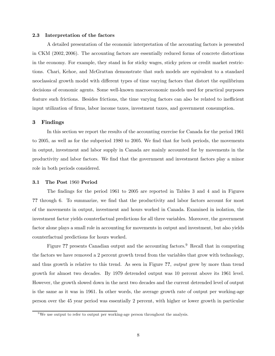#### 2.3 Interpretation of the factors

A detailed presentation of the economic interpretation of the accounting factors is presented in CKM (2002, 2006). The accounting factors are essentially reduced forms of concrete distortions in the economy. For example, they stand in for sticky wages, sticky prices or credit market restrictions. Chari, Kehoe, and McGrattan demonstrate that such models are equivalent to a standard neoclassical growth model with different types of time varying factors that distort the equilibrium decisions of economic agents. Some well-known macroeconomic models used for practical purposes feature such frictions. Besides frictions, the time varying factors can also be related to inefficient input utilization of firms, labor income taxes, investment taxes, and government consumption.

#### 3 Findings

In this section we report the results of the accounting exercise for Canada for the period 1961 to 2005, as well as for the subperiod 1980 to 2005. We find that for both periods, the movements in output, investment and labor supply in Canada are mainly accounted for by movements in the productivity and labor factors. We find that the government and investment factors play a minor role in both periods considered.

#### 3.1 The Post 1960 Period

The findings for the period 1961 to 2005 are reported in Tables 3 and 4 and in Figures ?? through 6. To summarize, we find that the productivity and labor factors account for most of the movements in output, investment and hours worked in Canada. Examined in isolation, the investment factor yields counterfactual predictions for all three variables. Moreover, the government factor alone plays a small role in accounting for movements in output and investment, but also yields counterfactual predictions for hours worked.

Figure ?? presents Canadian output and the accounting factors.<sup>9</sup> Recall that in computing the factors we have removed a 2 percent growth trend from the variables that grow with technology, and thus growth is relative to this trend. As seen in Figure ??, *output* grew by more than trend growth for almost two decades. By 1979 detrended output was 10 percent above its 1961 level. However, the growth slowed down in the next two decades and the current detrended level of output is the same as it was in 1961. In other words, the average growth rate of output per working-age person over the 45 year period was essentially 2 percent, with higher or lower growth in particular

 $9$ We use output to refer to output per working-age person throughout the analysis.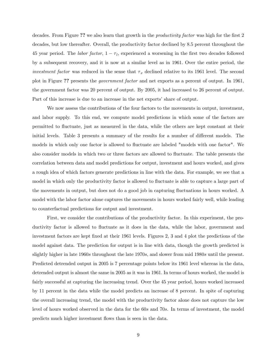decades. From Figure ?? we also learn that growth in the *productivity factor* was high for the first 2 decades, but low thereafter. Overall, the productivity factor declined by 8.5 percent throughout the 45 year period. The labor factor,  $1 - \tau_l$ , experienced a worsening in the first two decades followed by a subsequent recovery, and it is now at a similar level as in 1961. Over the entire period, the *investment factor* was reduced in the sense that  $\tau_x$  declined relative to its 1961 level. The second plot in Figure ?? presents the government factor and net exports as a percent of output. In 1961, the government factor was 20 percent of output. By 2005, it had increased to 26 percent of output. Part of this increase is due to an increase in the net exports' share of output.

We now assess the contributions of the four factors to the movements in output, investment, and labor supply. To this end, we compute model predictions in which some of the factors are permitted to fluctuate, just as measured in the data, while the others are kept constant at their initial levels. Table 3 presents a summary of the results for a number of different models. The models in which only one factor is allowed to fluctuate are labeled "models with one factor". We also consider models in which two or three factors are allowed to fluctuate. The table presents the correlation between data and model predictions for output, investment and hours worked, and gives a rough idea of which factors generate predictions in line with the data. For example, we see that a model in which only the productivity factor is allowed to fluctuate is able to capture a large part of the movements in output, but does not do a good job in capturing fluctuations in hours worked. A model with the labor factor alone captures the movements in hours worked fairly well, while leading to counterfactual predictions for output and investment.

First, we consider the contributions of the productivity factor. In this experiment, the productivity factor is allowed to fluctuate as it does in the data, while the labor, government and investment factors are kept fixed at their 1961 levels. Figures 2, 3 and 4 plot the predictions of the model against data. The prediction for output is in line with data, though the growth predicted is slightly higher in late 1960s throughout the late 1970s, and slower from mid 1980s until the present. Predicted detrended output in 2005 is 7 percentage points below its 1961 level whereas in the data, detrended output is almost the same in 2005 as it was in 1961. In terms of hours worked, the model is fairly successful at capturing the increasing trend. Over the 45 year period, hours worked increased by 11 percent in the data while the model predicts an increase of 8 percent. In spite of capturing the overall increasing trend, the model with the productivity factor alone does not capture the low level of hours worked observed in the data for the 60s and 70s. In terms of investment, the model predicts much higher investment flows than is seen in the data.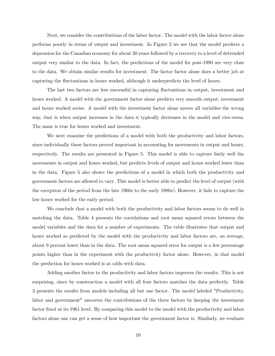Next, we consider the contributions of the labor factor. The model with the labor factor alone performs poorly in terms of output and investment. In Figure 2 we see that the model predicts a depression for the Canadian economy for about 20 years followed by a recovery to a level of detrended output very similar to the data. In fact, the predictions of the model for post-1990 are very close to the data. We obtain similar results for investment. The factor factor alone does a better job at capturing the fluctuations in hours worked, although it underpredicts the level of hours.

The last two factors are less successful in capturing fluctuations in output, investment and hours worked. A model with the government factor alone predicts very smooth output, investment and hours worked series. A model with the investment factor alone moves all variables the wrong way, that is when output increases in the data it typically decreases in the model and vice-versa. The same is true for hours worked and investment.

We next examine the predictions of a model with both the productivity and labor factors, since individually these factors proved important in accounting for movements in output and hours, respectively. The results are presented in Figure 5. This model is able to capture fairly well the movements in output and hours worked, but predicts levels of output and hours worked lower than in the data. Figure 5 also shows the predictions of a model in which both the productivity and government factors are allowed to vary. This model is better able to predict the level of output (with the exception of the period from the late 1960s to the early 1980s). However, it fails to capture the low hours worked for the early period.

We conclude that a model with both the productivity and labor factors seems to do well in matching the data. Table 4 presents the correlations and root mean squared errors between the model variables and the data for a number of experiments. The table illustrates that output and hours worked as predicted by the model with the productivity and labor factors are, on average, about 9 percent lower than in the data. The root mean squared error for output is a few percentage points higher than in the experiment with the productivity factor alone. However, in that model the prediction for hours worked is at odds with data.

Adding another factor to the productivity and labor factors improves the results. This is not surprising, since by construction a model with all four factors matches the data perfectly. Table 3 presents the results from models including all but one factor. The model labeled "Productivity, labor and government" uncovers the contributions of the three factors by keeping the investment factor fixed at its 1961 level. By comparing this model to the model with the productivity and labor factors alone one can get a sense of how important the government factor is. Similarly, we evaluate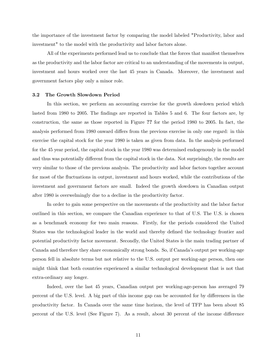the importance of the investment factor by comparing the model labeled "Productivity, labor and investment" to the model with the productivity and labor factors alone.

All of the experiments performed lead us to conclude that the forces that manifest themselves as the productivity and the labor factor are critical to an understanding of the movements in output, investment and hours worked over the last 45 years in Canada. Moreover, the investment and government factors play only a minor role.

#### 3.2 The Growth Slowdown Period

In this section, we perform an accounting exercise for the growth slowdown period which lasted from 1980 to 2005. The findings are reported in Tables 5 and 6. The four factors are, by construction, the same as those reported in Figure ?? for the period 1980 to 2005. In fact, the analysis performed from 1980 onward differs from the previous exercise in only one regard: in this exercise the capital stock for the year 1980 is taken as given from data. In the analysis performed for the 45 year period, the capital stock in the year 1980 was determined endogenously in the model and thus was potentially different from the capital stock in the data. Not surprisingly, the results are very similar to those of the previous analysis. The productivity and labor factors together account for most of the fluctuations in output, investment and hours worked, while the contributions of the investment and government factors are small. Indeed the growth slowdown in Canadian output after 1980 is overwelmingly due to a decline in the productivity factor.

In order to gain some perspective on the movements of the productivity and the labor factor outlined in this section, we compare the Canadian experience to that of U.S. The U.S. is chosen as a benchmark economy for two main reasons. Firstly, for the periods considered the United States was the technological leader in the world and thereby defined the technology frontier and potential productivity factor movement. Secondly, the United States is the main trading partner of Canada and therefore they share economically strong bonds. So, if Canada's output per working-age person fell in absolute terms but not relative to the U.S. output per working-age person, then one might think that both countries experienced a similar technological development that is not that extra-ordinary any longer.

Indeed, over the last 45 years, Canadian output per working-age-person has averaged 79 percent of the U.S. level. A big part of this income gap can be accounted for by differences in the productivity factor. In Canada over the same time horizon, the level of TFP has been about 85 percent of the U.S. level (See Figure 7). As a result, about 30 percent of the income difference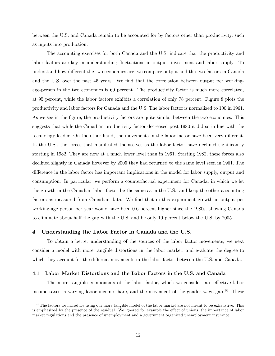between the U.S. and Canada remain to be accounted for by factors other than productivity, such as inputs into production.

The accounting exercises for both Canada and the U.S. indicate that the productivity and labor factors are key in understanding fluctuations in output, investment and labor supply. To understand how different the two economies are, we compare output and the two factors in Canada and the U.S. over the past 45 years. We find that the correlation between output per workingage-person in the two economies is 60 percent. The productivity factor is much more correlated, at 95 percent, while the labor factors exhibits a correlation of only 78 percent. Figure 8 plots the productivity and labor factors for Canada and the U.S. The labor factor is normalized to 100 in 1961. As we see in the figure, the productivity factors are quite similar between the two economies. This suggests that while the Canadian productivity factor decreased post 1980 it did so in line with the technology leader. On the other hand, the movements in the labor factor have been very different. In the U.S., the forces that manifested themselves as the labor factor have declined significantly starting in 1982. They are now at a much lower level than in 1961. Starting 1982, these forces also declined slightly in Canada however by 2005 they had returned to the same level seen in 1961. The difference in the labor factor has important implications in the model for labor supply, output and consumption. In particular, we perform a counterfactual experiment for Canada, in which we let the growth in the Canadian labor factor be the same as in the U.S., and keep the other accounting factors as measured from Canadian data. We find that in this experiment growth in output per working-age person per year would have been 0.6 percent higher since the 1980s, allowing Canada to eliminate about half the gap with the U.S. and be only 10 percent below the U.S. by 2005.

#### 4 Understanding the Labor Factor in Canada and the U.S.

To obtain a better understanding of the sources of the labor factor movements, we next consider a model with more tangible distortions in the labor market, and evaluate the degree to which they account for the different movements in the labor factor between the U.S. and Canada.

#### 4.1 Labor Market Distortions and the Labor Factors in the U.S. and Canada

The more tangible components of the labor factor, which we consider, are effective labor income taxes, a varying labor income share, and the movement of the gender wage gap.<sup>10</sup> These

 $10$ The factors we introduce using our more tangible model of the labor market are not meant to be exhaustive. This is emphasized by the presence of the residual. We ignored for example the effect of unions, the importance of labor market regulations and the presence of unemployment and a government organized unemployment insurance.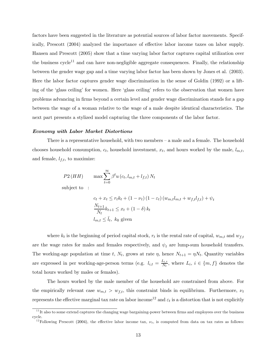factors have been suggested in the literature as potential sources of labor factor movements. Specifically, Prescott (2004) analyzed the importance of effective labor income taxes on labor supply. Hansen and Prescott (2005) show that a time varying labor factor captures capital utilization over the business cycle<sup>11</sup> and can have non-negligible aggregate consequences. Finally, the relationship between the gender wage gap and a time varying labor factor has been shown by Jones et al. (2003). Here the labor factor captures gender wage discrimination in the sense of Goldin (1992) or a lifting of the 'glass ceiling' for women. Here 'glass ceiling' refers to the observation that women have problems advancing in firms beyond a certain level and gender wage discrimination stands for a gap between the wage of a woman relative to the wage of a male despite identical characteristics. The next part presents a stylized model capturing the three components of the labor factor.

#### Economy with Labor Market Distortions

There is a representative household, with two members — a male and a female. The household chooses household consumption,  $c_t$ , household investment,  $x_t$ , and hours worked by the male,  $l_{m,t}$ , and female,  $l_{f,t}$ , to maximize:

$$
P2(HH) \qquad \max \sum_{t=0}^{\infty} \beta^t u(c_t, l_{m,t} + l_{f,t}) N_t
$$

subject to :

$$
c_t + x_t \le r_t k_t + (1 - \nu_t) (1 - \varepsilon_t) (w_{m,t} l_{m,t} + w_{f,t} l_{f,t}) + \psi_t
$$
  

$$
\frac{N_{t+1}}{N_t} k_{t+1} \le x_t + (1 - \delta) k_t
$$
  

$$
l_{m,t} \le \bar{l}_t, k_0 \text{ given}
$$

where  $k_t$  is the beginning of period capital stock,  $r_t$  is the rental rate of capital,  $w_{m,t}$  and  $w_{f,t}$ are the wage rates for males and females respectively, and  $\psi_t$  are lump-sum household transfers. The working-age population at time t,  $N_t$ , grows at rate  $\eta$ , hence  $N_{t+1} = \eta N_t$ . Quantity variables are expressed in per working-age-person terms (e.g.  $l_{i,t} = \frac{L_{i,t}}{N_t}$ , where  $L_i$ ,  $i \in \{m, f\}$  denotes the total hours worked by males or females).

The hours worked by the male member of the household are constrained from above. For the empirically relevant case  $w_{m,t} > w_{f,t}$ , this constraint binds in equilibrium. Furthermore,  $\nu_t$ represents the effective marginal tax rate on labor income<sup>12</sup> and  $\varepsilon_t$  is a distortion that is not explicitly

 $11$  It also to some extend captures the changing wage bargaining-power between firms and employees over the business cycle.

<sup>&</sup>lt;sup>12</sup>Following Prescott (2004), the effective labor income tax,  $\nu_t$ , is computed from data on tax rates as follows: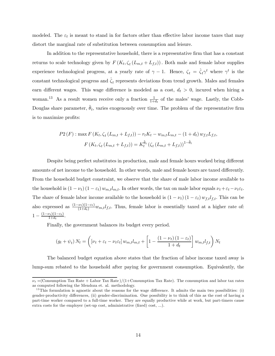modeled. The  $\varepsilon_t$  is meant to stand in for factors other than effective labor income taxes that may distort the marginal rate of substitution between consumption and leisure.

In addition to the representative household, there is a representative firm that has a constant returns to scale technology given by  $F(K_t, \zeta_t(L_{m,t} + L_{f,t}))$ . Both male and female labor supplies experience technological progress, at a yearly rate of  $\gamma - 1$ . Hence,  $\zeta_t = \hat{\zeta}_t \gamma^t$  where  $\gamma^t$  is the constant technological progress and  $\zeta_t$  represents deviations from trend growth. Males and females earn different wages. This wage difference is modeled as a cost,  $d_t > 0$ , incured when hiring a woman.<sup>13</sup> As a result women receive only a fraction  $\frac{1}{1+d_t}$  of the males' wage. Lastly, the Cobb-Douglas share parameter,  $\theta_t$ , varies exogenously over time. The problem of the representative firm is to maximize profits:

$$
P2(F) : \max F(K_t, \zeta_t (L_{m,t} + L_{f,t})) - r_t K_t - w_{m,t} L_{m,t} - (1 + d_t) w_{f,t} L_{f,t},
$$
  

$$
F(K_t, \zeta_t (L_{m,t} + L_{f,t})) = K_t^{\tilde{\theta}_t} (\zeta_t (L_{m,t} + L_{f,t}))^{1 - \tilde{\theta}_t}
$$

Despite being perfect substitutes in production, male and female hours worked bring different amounts of net income to the household. In other words, male and female hours are taxed differently. From the household budget constraint, we observe that the share of male labor income available to the household is  $(1 - \nu_t) (1 - \varepsilon_t) w_{m,t} l_{m,t}$ . In other words, the tax on male labor equals  $\nu_t + \varepsilon_t - \nu_t \varepsilon_t$ . The share of female labor income available to the household is  $(1 - \nu_t) (1 - \varepsilon_t) w_{f,t} l_{f,t}$ . This can be also expressed as  $\frac{(1-\nu_t)(1-\varepsilon_t)}{(1+d_t)}w_{m,t}l_{f,t}$ . Thus, female labor is essentially taxed at a higher rate of:  $1 - \frac{(1 - \nu_t)(1 - \varepsilon_t)}{1 + d_t}.$ 

Finally, the government balances its budget every period.

$$
(g_t + \psi_t) N_t = \left( \left[ \nu_t + \varepsilon_t - \nu_t \varepsilon_t \right] w_{m,t} l_{m,t} + \left[ 1 - \frac{\left( 1 - \nu_t \right) \left( 1 - \varepsilon_t \right)}{1 + d_t} \right] w_{m,t} l_{f,t} \right) N_t
$$

The balanced budget equation above states that the fraction of labor income taxed away is lump-sum rebated to the household after paying for government consumption. Equivalently, the

 $\nu_t$  =(Consumption Tax Rate + Labor Tax Rate)/(1+Consumption Tax Rate). The consumption and labor tax rates as computed following the Mendoza et. al. methodology.

 $13$ This formulation is agnostic about the reasons for the wage difference. It admits the main two possibilities: (i) gender-productivity differences, (ii) gender-discrimination. One possibility is to think of this as the cost of having a part-time worker compared to a full-time worker. They are equally productive while at work, but part-timers cause extra costs for the employer (set-up cost, administrative (fixed) cost, ...).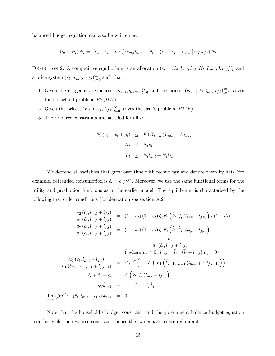balanced budget equation can also be written as:

$$
(g_t + \psi_t) N_t = ([\nu_t + \varepsilon_t - \nu_t \varepsilon_t] w_{m,t} l_{m,t} + [d_t - (\nu_t + \varepsilon_t - \nu_t \varepsilon_t)] w_{f,t} l_{f,t}) N_t
$$

DEFINITION 2. A competitive equilibrium is an allocation  $(c_t, x_t, k_t, l_{m,t}, l_{f,t}, K_t, L_{m,t}, L_{f,t})_{t=0}^{\infty}$  and a price system  $(r_t, w_{m,t}, w_{f,t})_{t=0}^{\infty}$  such that:

- 1. Given the exogenous sequences  $(\nu_t, \varepsilon_t, g_t, \psi_t)_{t=0}^{\infty}$  and the prices,  $(c_t, x_t, k_t, l_{m,t}, l_{f,t})_{t=0}^{\infty}$  solves the household problem,  $P2(HH)$
- 2. Given the prices,  $(K_t, L_{m,t}, L_{f,t})_{t=0}^{\infty}$  solves the firm's problem,  $P2(F)$
- 3. The resource constraints are satisfied for all t:

$$
N_t (c_t + x_t + g_t) \leq F(K_t, \zeta_t (L_{m,t} + L_{f,t}))
$$
  

$$
K_t \leq N_t k_t
$$
  

$$
L_t \leq N_t l_{m,t} + N_t l_{f,t}
$$

We detrend all variables that grow over time with technology and denote them by hats (for example, detrended consumption is  $\hat{c}_t = c_t/\gamma^t$ . Moreover, we use the same functional forms for the utility and production functions as in the earlier model. The equilibrium is characterized by the following first order conditions (for derivation see section A.2):

$$
\frac{u_2(\hat{c}_t, l_{m,t} + l_{f,t})}{u_1(\hat{c}_t, l_{m,t} + l_{f,t})} = (1 - \nu_t) (1 - \varepsilon_t) \hat{\zeta}_t F_2 \left( \hat{k}_t, \hat{\zeta}_t (l_{m,t} + l_{f,t}) \right) / (1 + d_t) \n\frac{u_2(c_t, l_{m,t} + l_{f,t})}{u_1(c_t, l_{m,t} + l_{f,t})} = (1 - \nu_t) (1 - \varepsilon_t) \hat{\zeta}_t F_2 \left( \hat{k}_t, \hat{\zeta}_t (l_{m,t} + l_{f,t}) \right) - \n- \frac{\mu_t}{u_1(\hat{c}_t, l_{m,t} + l_{f,t})} \n\qquad \qquad \text{(where } \mu_t \geq 0; \ l_{m,t} = \bar{l}_t; \ \left( \bar{l}_t - l_{m,t} \right) \mu_t = 0) \n\frac{u_1(\hat{c}_t, l_{m,t} + l_{f,t})}{u_1(\hat{c}_{t+1}, l_{m,t+1} + l_{f,t+1})} = \beta \gamma^{-\sigma} \left( 1 - \delta + F_1 \left( \hat{k}_{t+1}, \hat{\zeta}_{t+1} (l_{m,t+1} + l_{f,t+1}) \right) \right) \n\hat{c}_t + \hat{x}_t + \hat{g}_t = F \left( \hat{k}_t, \hat{\zeta}_t (l_{m,t} + l_{f,t}) \right) \n\eta \gamma \hat{k}_{t+1} = \hat{x}_t + (1 - \delta) \hat{k}_t
$$
\n
$$
\lim_{t \to \infty} (\beta \eta)^t u_1(\hat{c}_t, l_{m,t} + l_{f,t}) \hat{k}_{t+1} = 0
$$

Note that the household's budget constraint and the government balance budget equation together yield the resource constraint, hence the two equations are redundant.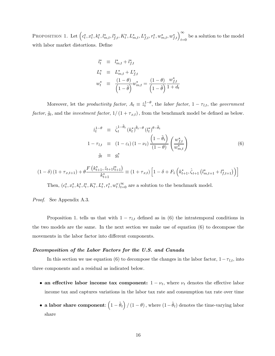PROPOSITION 1. Let  $(c_t^*, x_t^*, k_t^*, l_{m,t}^*, l_{f,t}^*, K_t^*, L_{m,t}^*, L_{f,t}^*, r_t^*, w_{m,t}^*, w_{f,t}^*)_{t=0}^{\infty}$  be a solution to the model with labor market distortions. Define

$$
l_t^* \equiv l_{m,t}^* + l_{f,t}^*
$$
  
\n
$$
L_t^* \equiv L_{m,t}^* + L_{f,t}^*
$$
  
\n
$$
w_t^* \equiv \frac{(1-\theta)}{(1-\tilde{\theta})} w_{m,t}^* = \frac{(1-\theta)}{(1-\tilde{\theta})} \frac{w_{f,t}^*}{1+d_t}
$$

Moreover, let the *productivity factor*,  $A_t \equiv \hat{z}_t^{1-\theta}$ , the *labor factor*,  $1 - \tau_{l,t}$ , the *government* factor,  $\tilde{g}_t$ , and the *investment factor*,  $1/(1 + \tau_{x,t})$ , from the benchmark model be defined as below.

$$
\hat{z}_t^{1-\theta} \equiv \hat{\zeta}_t^{1-\tilde{\theta}_t} (k_t^*)^{\tilde{\theta}_t-\theta} (l_t^*)^{\theta-\tilde{\theta}_t}
$$
\n
$$
1 - \tau_{l,t} \equiv (1 - \varepsilon_t) (1 - \nu_t) \frac{\left(1 - \tilde{\theta}_t\right)}{\left(1 - \theta\right)} \left(\frac{w_{f,t}^*}{w_{m,t}^*}\right)
$$
\n
$$
\tilde{g}_t \equiv g_t^*
$$
\n(6)

$$
(1 - \delta) (1 + \tau_{x,t+1}) + \theta \frac{F(k_{t+1}^*, \hat{z}_{t+1} l_{t+1}^*)}{k_{t+1}^*} \equiv (1 + \tau_{x,t}) \left[ 1 - \delta + F_1 \left( k_{t+1}^*, \hat{\zeta}_{t+1} \left( l_{m,t+1}^* + l_{f,t+1}^* \right) \right) \right]
$$

Then,  $(c_t^*, x_t^*, k_t^*, l_t^*, K_t^*, L_t^*, r_t^*, w_t^*)_{t=0}^{\infty}$  are a solution to the benchmark model.

Proof. See Appendix A.3.

Proposition 1. tells us that with  $1 - \tau_{l,t}$  defined as in (6) the intratemporal conditions in the two models are the same. In the next section we make use of equation (6) to decompose the movements in the labor factor into different components.

#### Decomposition of the Labor Factors for the U.S. and Canada

In this section we use equation (6) to decompose the changes in the labor factor,  $1-\tau_{l,t}$ , into three components and a residual as indicated below.

- an effective labor income tax component:  $1 \nu_t$ , where  $\nu_t$  denotes the effective labor income tax and captures variations in the labor tax rate and consumption tax rate over time
- a labor share component:  $(1 \tilde{\theta}_t) / (1 \theta)$ , where  $(1 \tilde{\theta}_t)$  denotes the time-varying labor share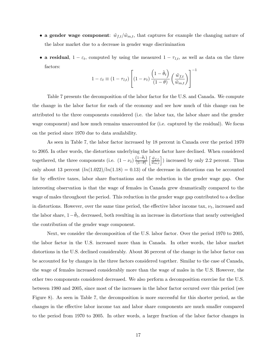- a gender wage component:  $\tilde{w}_{f,t}/\tilde{w}_{m,t}$ , that captures for example the changing nature of the labor market due to a decrease in gender wage discrimination
- a residual,  $1 \varepsilon_t$ , computed by using the measured  $1 \tau_{l,t}$ , as well as data on the three factors: −1

$$
1 - \varepsilon_t \equiv (1 - \tau_{l,t}) \left[ (1 - \nu_t) \frac{\left(1 - \tilde{\theta}_t\right)}{(1 - \theta)} \left(\frac{\tilde{w}_{f,t}}{\tilde{w}_{m,t}}\right) \right]
$$

Table 7 presents the decomposition of the labor factor for the U.S. and Canada. We compute the change in the labor factor for each of the economy and see how much of this change can be attributed to the three components considered (i.e. the labor tax, the labor share and the gender wage component) and how much remains unaccounted for (i.e. captured by the residual). We focus on the period since 1970 due to data availability.

As seen in Table 7, the labor factor increased by 18 percent in Canada over the period 1970 to 2005. In other words, the distortions underlying the labor factor have declined. When considered togethered, the three components (i.e.  $(1 - \nu_t) \frac{(1 - \tilde{\theta}_t)}{(1 - \theta)}$  $\left\lceil \frac{\tilde{w}_{f,t}}{\tilde{w}_{m,t}} \right\rceil$ ) increased by only 2.2 percent. Thus only about 13 percent  $(ln(1.022)/ln(1.18) = 0.13)$  of the decrease in distortions can be accounted for by effective taxes, labor share fluctuations and the reduction in the gender wage gap. One interesting observation is that the wage of females in Canada grew dramatically compared to the wage of males throughout the period. This reduction in the gender wage gap contributed to a decline in distortions. However, over the same time period, the effective labor income tax,  $\nu_t$ , increased and the labor share,  $1-\theta_t$ , decreased, both resulting in an increase in distortions that nearly outweighed the contribution of the gender wage component.

Next, we consider the decomposition of the U.S. labor factor. Over the period 1970 to 2005, the labor factor in the U.S. increased more than in Canada. In other words, the labor market distortions in the U.S. declined considerably. About 36 percent of the change in the labor factor can be accounted for by changes in the three factors considered together. Similar to the case of Canada, the wage of females increased considerably more than the wage of males in the U.S. However, the other two components considered decreased. We also perform a decomposition exercise for the U.S. between 1980 and 2005, since most of the increases in the labor factor occured over this period (see Figure 8). As seen in Table 7, the decomposition is more successful for this shorter period, as the changes in the effective labor income tax and labor share components are much smaller compared to the period from 1970 to 2005. In other words, a larger fraction of the labor factor changes in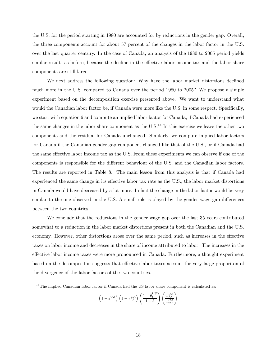the U.S. for the period starting in 1980 are accounted for by reductions in the gender gap. Overall, the three components account for about 57 percent of the changes in the labor factor in the U.S. over the last quarter century. In the case of Canada, an analysis of the 1980 to 2005 period yields similar results as before, because the decline in the effective labor income tax and the labor share components are still large.

We next address the following question: Why have the labor market distortions declined much more in the U.S. compared to Canada over the period 1980 to 2005? We propose a simple experiment based on the decomposition exercise presented above. We want to understand what would the Canadian labor factor be, if Canada were more like the U.S. in some respect. Specifically, we start with equation 6 and compute an implied labor factor for Canada, if Canada had experienced the same changes in the labor share component as the  $U.S.^{14}$  In this exercise we leave the other two components and the residual for Canada unchanged. Similarly, we compute implied labor factors for Canada if the Canadian gender gap component changed like that of the U.S., or if Canada had the same effective labor income tax as the U.S. From these experiments we can observe if one of the components is responsible for the different behaviour of the U.S. and the Canadian labor factors. The results are reported in Table 8. The main lesson from this analysis is that if Canada had experienced the same change in its effective labor tax rate as the U.S., the labor market distortions in Canada would have decreased by a lot more. In fact the change in the labor factor would be very similar to the one observed in the U.S. A small role is played by the gender wage gap differences between the two countries.

We conclude that the reductions in the gender wage gap over the last 35 years contributed somewhat to a reduction in the labor market distortions present in both the Canadian and the U.S. economy. However, other distortions arose over the same period, such as increases in the effective taxes on labor income and decreases in the share of income attributed to labor. The increases in the effective labor income taxes were more pronounced in Canada. Furthermore, a thought experiment based on the decompositon suggests that effective labor taxes account for very large proporiton of the divergence of the labor factors of the two countries.

$$
\left(1 - \varepsilon_t^{CA}\right) \left(1 - \tau_{l,t}^{CA}\right) \left(\frac{1 - \tilde{\theta}_t^{US}}{1 - \theta}\right) \left(\frac{w_{f,t}^{CA}}{w_{m,t}^{CA}}\right)
$$

 $14$ The implied Canadian labor factor if Canada had the US labor share component is calculated as: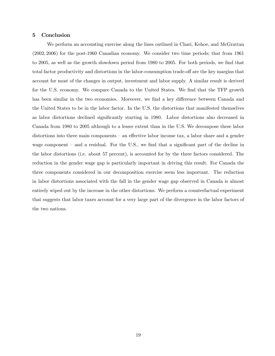#### 5 Conclusion

We perform an accounting exercise along the lines outlined in Chari, Kehoe, and McGrattan (2002, 2006) for the post-1960 Canadian economy. We consider two time periods; that from 1961 to 2005, as well as the growth slowdown period from 1980 to 2005. For both periods, we find that total factor productivity and distortions in the labor-consumption trade-off are the key margins that account for most of the changes in output, investment and labor supply. A similar result is derived for the U.S. economy. We compare Canada to the United States. We find that the TFP growth has been similar in the two economies. Moreover, we find a key difference between Canada and the United States to be in the labor factor. In the U.S. the distortions that manifested themselves as labor distortions declined significantly starting in 1980. Labor distortions also decreased in Canada from 1980 to 2005 although to a lesser extent than in the U.S. We decompose these labor distortions into three main components — an effective labor income tax, a labor share and a gender wage component — and a residual. For the U.S., we find that a significant part of the decline in the labor distortions (i.e. about 57 percent), is accounted for by the three factors considered. The reduction in the gender wage gap is particularly important in driving this result. For Canada the three components considered in our decomposition exercise seem less important. The reduction in labor distortions associated with the fall in the gender wage gap observed in Canada is almost entirely wiped out by the increase in the other distortions. We perform a counterfactual experiment that suggests that labor taxes account for a very large part of the divergence in the labor factors of the two nations.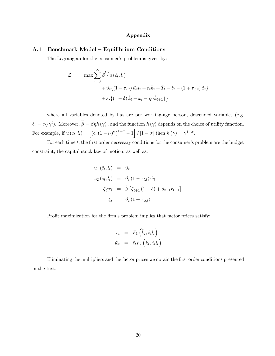#### Appendix

#### A.1 Benchmark Model — Equilibrium Conditions

The Lagrangian for the consumer's problem is given by:

$$
\mathcal{L} = \max \sum_{t=0}^{\infty} \tilde{\beta}^t \left\{ u \left( \hat{c}_t, l_t \right) + \vartheta_t \left\{ \left( 1 - \tau_{l,t} \right) \hat{w}_t l_t + r_t \hat{k}_t + \hat{T}_t - \hat{c}_t - \left( 1 + \tau_{x,t} \right) \hat{x}_t \right\} + \xi_t \left\{ \left( 1 - \delta \right) \hat{k}_t + \hat{x}_t - \eta \gamma \hat{k}_{t+1} \right\} \right\}
$$

where all variables denoted by hat are per working-age person, detrended variables (e.g.  $\hat{c}_t = c_t/\gamma^t$ ). Moreover,  $\tilde{\beta} = \beta \eta h(\gamma)$ , and the function  $h(\gamma)$  depends on the choice of utility function. For example, if  $u(c_t, l_t) = \left[ \left( c_t (1 - l_t)^{\alpha} \right)^{1 - \sigma} - 1 \right] / \left[ 1 - \sigma \right]$  then  $h(\gamma) = \gamma^{1 - \sigma}$ .

For each time  $t$ , the first order necessary conditions for the consumer's problem are the budget constraint, the capital stock law of motion, as well as:

$$
u_1(\hat{c}_t, l_t) = \vartheta_t
$$
  
\n
$$
u_2(\hat{c}_t, l_t) = \vartheta_t (1 - \tau_{l,t}) \hat{w}_t
$$
  
\n
$$
\xi_t \eta \gamma = \tilde{\beta} [\xi_{t+1} (1 - \delta) + \vartheta_{t+1} r_{t+1}]
$$
  
\n
$$
\xi_t = \vartheta_t (1 + \tau_{x,t})
$$

Profit maximization for the firm's problem implies that factor prices satisfy:

$$
r_t = F_1\left(\hat{k}_t, \hat{z}_t l_t\right)
$$
  

$$
\hat{w}_t = \hat{z}_t F_2\left(\hat{k}_t, \hat{z}_t l_t\right)
$$

Eliminating the multipliers and the factor prices we obtain the first order conditions presented in the text.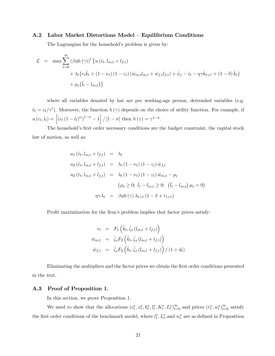#### A.2 Labor Market Distortions Model — Equilibrium Conditions

The Lagrangian for the household's problem is given by:

$$
\mathcal{L} = \max \sum_{t=0}^{\infty} (\beta \eta h(\gamma))^{t} \left\{ u (\hat{c}_{t}, l_{m,t} + l_{f,t}) + \lambda_{t} \{ r_{t} \hat{k}_{t} + (1 - \nu_{t}) (1 - \varepsilon_{t}) (\hat{w}_{m,t} l_{m,t} + \hat{w}_{f,t} l_{f,t}) + \hat{\psi}_{t} - \hat{c}_{t} - \eta \gamma \hat{k}_{t+1} + (1 - \delta) \hat{k}_{t} \right\} + \mu_{t} \{\bar{l}_{t} - l_{m,t}\}\right\}
$$

where all variables denoted by hat are per working-age person, detrended variables (e.g.  $\hat{c}_t = c_t/\gamma^t$ ). Moreover, the function  $h(\gamma)$  depends on the choice of utility function. For example, if  $u(c_t, l_t) = \left[ (c_t (1 - l_t)^{\alpha})^{1 - \sigma} - 1 \right] / [1 - \sigma] \text{ then } h(\gamma) = \gamma^{1 - \sigma}.$ 

The household's first order necessary conditions are the budget constraint, the capital stock law of motion, as well as:

$$
u_1(\hat{c}_t, l_{m,t} + l_{f,t}) = \lambda_t
$$
  
\n
$$
u_2(\hat{c}_t, l_{m,t} + l_{f,t}) = \lambda_t (1 - \nu_t) (1 - \varepsilon_t) \hat{w}_{f,t}
$$
  
\n
$$
u_2(\hat{c}_t, l_{m,t} + l_{f,t}) = \lambda_t (1 - \nu_t) (1 - \varepsilon_t) \hat{w}_{m,t} - \mu_t
$$
  
\n
$$
(\mu_t \ge 0; \bar{l}_t - l_{m,t} \ge 0; (\bar{l}_t - l_{m,t}) \mu_t = 0)
$$
  
\n
$$
\eta \gamma \lambda_t = \beta \eta h(\gamma) \lambda_{t+1} (1 - \delta + r_{t+1})
$$

Profit maximization for the firm's problem implies that factor prices satisfy:

$$
r_t = F_1\left(\hat{k}_t, \hat{\zeta}_t \left(l_{m,t} + l_{f,t}\right)\right)
$$
  
\n
$$
\hat{w}_{m,t} = \hat{\zeta}_t F_2\left(\hat{k}_t, \hat{\zeta}_t \left(l_{m,t} + l_{f,t}\right)\right)
$$
  
\n
$$
\hat{w}_{f,t} = \hat{\zeta}_t F_2\left(\hat{k}_t, \hat{\zeta}_t \left(l_{m,t} + l_{f,t}\right)\right) / \left(1 + d_t\right)
$$

Eliminating the multipliers and the factor prices we obtain the first order conditions presented in the text.

#### A.3 Proof of Proposition 1.

In this section, we prove Proposition 1.

We need to show that the allocations  $(c_t^*, x_t^*, k_t^*, l_t^*, K_t^*, L_t^*)_{t=0}^{\infty}$  and prices  $(r_t^*, w_t^*)_{t=0}^{\infty}$  satisfy the first order conditions of the benchmark model, where  $l_t^*, L_t^*,$  and  $w_t^*$  are as defined in Proposition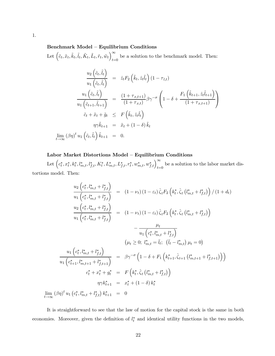#### Benchmark Model — Equilibrium Conditions

Let  $\left(\widetilde{c}_t, \widetilde{x}_t, \widetilde{k}_t, \widetilde{l}_t, \widetilde{K}_t, \widetilde{L}_t, \widetilde{r}_t, \widetilde{w}_t\right)^\infty$ be a solution to the benchmark model. Then:<br> $t=0$ 

$$
\frac{u_2(\tilde{c}_t, \tilde{l}_t)}{u_1(\tilde{c}_t, \tilde{l}_t)} = \hat{z}_t F_2(\tilde{k}_t, \hat{z}_t \tilde{l}_t) (1 - \tau_{l,t})
$$
\n
$$
\frac{u_1(\tilde{c}_t, \tilde{l}_t)}{u_1(\tilde{c}_{t+1}, \tilde{l}_{t+1})} = \frac{(1 + \tau_{x,t+1})}{(1 + \tau_{x,t})} \beta \gamma^{-\sigma} \left(1 - \delta + \frac{F_1(\tilde{k}_{t+1}, \hat{z}_t \tilde{l}_{t+1})}{(1 + \tau_{x,t+1})}\right)
$$
\n
$$
\tilde{c}_t + \tilde{x}_t + \tilde{g}_t \leq F(\tilde{k}_t, \hat{z}_t \tilde{l}_t)
$$
\n
$$
\eta \gamma \tilde{k}_{t+1} = \tilde{x}_t + (1 - \delta) \tilde{k}_t
$$
\n
$$
\lim_{t \to \infty} (\beta \eta)^t u_1(\tilde{c}_t, \tilde{l}_t) \tilde{k}_{t+1} = 0.
$$

#### Labor Market Distortions Model — Equilibrium Conditions

Let  $(c_t^*, x_t^*, k_t^*, l_{m,t}^*, l_{f,t}^*, K_t^*, L_{m,t}^*, L_{f,t}^*, r_t^*, w_{m,t}^*, w_{f,t}^*)_{t=0}^{\infty}$  be a solution to the labor market distortions model. Then:

$$
\frac{u_2 (c_t^*, l_{m,t}^* + l_{f,t}^*)}{u_1 (c_t^*, l_{m,t}^* + l_{f,t}^*)} = (1 - \nu_t) (1 - \varepsilon_t) \hat{\zeta}_t F_2 (k_t^*, \hat{\zeta}_t (l_{m,t}^* + l_{f,t}^*) ) / (1 + d_t)
$$
\n
$$
\frac{u_2 (c_t^*, l_{m,t}^* + l_{f,t}^*)}{u_1 (c_t^*, l_{m,t}^* + l_{f,t}^*)} = (1 - \nu_t) (1 - \varepsilon_t) \hat{\zeta}_t F_2 (k_t^*, \hat{\zeta}_t (l_{m,t}^* + l_{f,t}^*) )
$$
\n
$$
- \frac{\mu_t}{u_1 (c_t^*, l_{m,t}^* + l_{f,t}^*)}
$$
\n
$$
(\mu_t \geq 0; l_{m,t}^* = \bar{l}_t; (\bar{l}_t - l_{m,t}^*) \mu_t = 0 )
$$
\n
$$
\frac{u_1 (c_t^*, l_{m,t}^* + l_{f,t}^*)}{u_1 (c_{t+1}^*, l_{m,t+1}^* + l_{f,t+1}^*)} = \beta \gamma^{-\sigma} (1 - \delta + F_1 (k_{t+1}^*, \hat{\zeta}_{t+1} (l_{m,t+1}^* + l_{f,t+1}^*) ) )
$$
\n
$$
c_t^* + x_t^* + g_t^* = F (k_t^*, \hat{\zeta}_t (l_{m,t}^* + l_{f,t}^*) )
$$
\n
$$
\eta \gamma k_{t+1}^* = x_t^* + (1 - \delta) k_t^*
$$
\n
$$
\lim_{t \to \infty} (\beta \eta)^t u_1 (c_t^*, l_{m,t}^* + l_{f,t}^*) k_{t+1}^* = 0
$$

It is straightforward to see that the law of motion for the capital stock is the same in both economies. Moreover, given the definition of  $l_t^*$  and identical utility functions in the two models,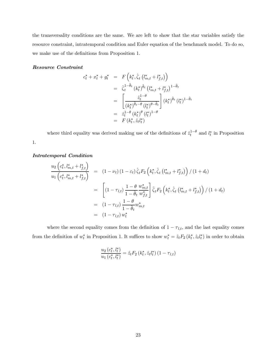the transversality conditions are the same. We are left to show that the star variables satisfy the resource constraint, intratemporal condition and Euler equation of the benchmark model. To do so, we make use of the definitions from Proposition 1.

#### Resource Constraint

$$
c_{t}^{*} + x_{t}^{*} + g_{t}^{*} = F\left(k_{t}^{*}, \hat{\zeta}_{t}\left(l_{m,t}^{*} + l_{f,t}^{*}\right)\right)
$$
  
\n
$$
= \hat{\zeta}_{t}^{1-\tilde{\theta}_{t}}\left(k_{t}^{*}\right)^{\tilde{\theta}_{t}}\left(l_{m,t}^{*} + l_{f,t}^{*}\right)^{1-\tilde{\theta}_{t}}
$$
  
\n
$$
= \left[\frac{\hat{z}_{t}^{1-\theta}}{\left(k_{t}^{*}\right)^{\tilde{\theta}_{t}-\theta}\left(l_{t}^{*}\right)^{\theta-\tilde{\theta}_{t}}}\right](k_{t}^{*})^{\tilde{\theta}_{t}}\left(l_{t}^{*}\right)^{1-\tilde{\theta}_{t}}
$$
  
\n
$$
= \hat{z}_{t}^{1-\theta}\left(k_{t}^{*}\right)^{\theta}\left(l_{t}^{*}\right)^{1-\theta}
$$
  
\n
$$
= F\left(k_{t}^{*}, \hat{z}_{t}l_{t}^{*}\right)
$$

where third equality was derived making use of the definitions of  $\hat{z}_t^{1-\theta}$  and  $l_t^*$  in Proposition

#### Intratemporal Condition

1.

$$
\frac{u_2 \left(c_t^*, l_{m,t}^* + l_{f,t}^* \right)}{u_1 \left(c_t^*, l_{m,t}^* + l_{f,t}^* \right)} = (1 - \nu_t) (1 - \varepsilon_t) \hat{\zeta}_t F_2 \left(k_t^*, \hat{\zeta}_t \left(l_{m,t}^* + l_{f,t}^* \right) \right) / (1 + d_t)
$$
\n
$$
= \left[ (1 - \tau_{l,t}) \frac{1 - \theta}{1 - \tilde{\theta}_t} \frac{w_{m,t}^*}{w_{f,t}^*} \right] \hat{\zeta}_t F_2 \left(k_t^*, \hat{\zeta}_t \left(l_{m,t}^* + l_{f,t}^* \right) \right) / (1 + d_t)
$$
\n
$$
= (1 - \tau_{l,t}) \frac{1 - \theta}{1 - \tilde{\theta}_t} w_{m,t}^*
$$
\n
$$
= (1 - \tau_{l,t}) w_t^*
$$

where the second equality comes from the definition of  $1 - \tau_{l,t}$ , and the last equality comes from the definition of  $w_t^*$  in Proposition 1. It suffices to show  $w_t^* = \hat{z}_t F_2(k_t^*, \hat{z}_t l_t^*)$  in order to obtain

$$
\frac{u_2(c_t^*, l_t^*)}{u_1(c_t^*, l_t^*)} = \hat{z}_t F_2(k_t^*, \hat{z}_t l_t^*) (1 - \tau_{l,t})
$$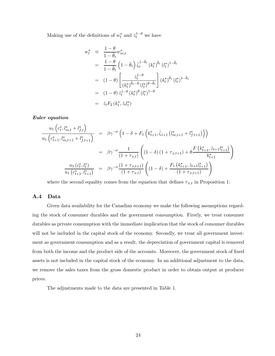Making use of the definitions of  $w_t^*$  and  $\hat{z}_t^{1-\theta}$  we have

$$
w_t^* = \frac{1-\theta}{1-\tilde{\theta}_t} w_{m,t}^*
$$
  
\n
$$
= \frac{1-\theta}{1-\tilde{\theta}_t} \left(1-\tilde{\theta}_t\right) \hat{\zeta}_t^{1-\tilde{\theta}_t} (k_t^*)^{\tilde{\theta}_t} (l_t^*)^{1-\tilde{\theta}_t}
$$
  
\n
$$
= (1-\theta) \left[\frac{\hat{z}_t^{1-\theta}}{(k_t^*)^{\tilde{\theta}_t-\theta} (l_t^*)^{\theta-\tilde{\theta}_t}}\right] (k_t^*)^{\tilde{\theta}_t} (l_t^*)^{1-\tilde{\theta}_t}
$$
  
\n
$$
= (1-\theta) \hat{z}_t^{1-\theta} (k_t^*)^{\theta} (l_t^*)^{1-\theta}
$$
  
\n
$$
= \hat{z}_t F_2 (k_t^*, \hat{z}_t l_t^*)
$$

Euler equation

$$
\frac{u_1 \left(c_t^*, l_{m,t}^* + l_{f,t}^* \right)}{u_1 \left(c_{t+1}^*, l_{m,t+1}^* + l_{f,t+1}^* \right)} = \beta \gamma^{-\sigma} \left(1 - \delta + F_1 \left(k_{t+1}^*, \hat{\zeta}_{t+1} \left(l_{m,t+1}^* + l_{f,t+1}^* \right) \right) \right)
$$
\n
$$
= \beta \gamma^{-\sigma} \frac{1}{(1 + \tau_{x,t})} \left( (1 - \delta) \left(1 + \tau_{x,t+1} \right) + \theta \frac{F \left(k_{t+1}^*, \hat{z}_{t+1} l_{t+1}^* \right)}{k_{t+1}^*} \right)
$$
\n
$$
\frac{u_1 \left(c_t^*, l_t^* \right)}{u_1 \left(c_{t+1}^*, l_{t+1}^* \right)} = \beta \gamma^{-\sigma} \frac{\left(1 + \tau_{x,t+1} \right)}{\left(1 + \tau_{x,t} \right)} \left( (1 - \delta) + \frac{F_1 \left(k_{t+1}^*, \hat{z}_{t+1} l_{t+1}^* \right)}{\left(1 + \tau_{x,t+1} \right)} \right)
$$

where the second equality comes from the equation that defines  $\tau_{x,t}$  in Proposition 1.

#### A.4 Data

Given data availability for the Canadian economy we make the following assumptions regarding the stock of consumer durables and the government consumption. Firstly, we treat consumer durables as private consumption with the immediate implication that the stock of consumer durables will not be included in the capital stock of the economy. Secondly, we treat all government investment as government consumption and as a result, the depreciation of government capital is removed from both the income and the product side of the accounts. Moreover, the government stock of fixed assets is not included in the capital stock of the economy. In an additional adjustment to the data, we remove the sales taxes from the gross domestic product in order to obtain output at producer prices.

The adjustments made to the data are presented in Table 1.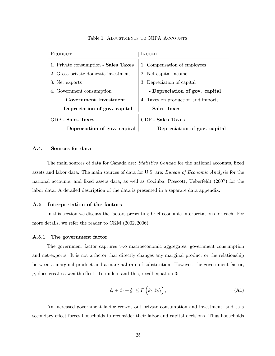| <b>PRODUCT</b>                       | INCOME                             |
|--------------------------------------|------------------------------------|
| 1. Private consumption - Sales Taxes | 1. Compensation of employees       |
| 2. Gross private domestic investment | 2. Net capital income              |
| 3. Net exports                       | 3. Depreciation of capital         |
| 4. Government consumption            | - Depreciation of gov. capital     |
| + Government Investment              | 4. Taxes on production and imports |
| - Depreciation of gov. capital       | - Sales Taxes                      |
| <b>GDP</b> - Sales Taxes             | GDP - Sales Taxes                  |
| - Depreciation of gov. capital       | - Depreciation of gov. capital     |

Table 1: ADJUSTMENTS TO NIPA ACCOUNTS.

#### A.4.1 Sources for data

The main sources of data for Canada are: Statistics Canada for the national accounts, fixed assets and labor data. The main sources of data for U.S. are: Bureau of Economic Analysis for the national accounts, and fixed assets data, as well as Cociuba, Prescott, Ueberfeldt (2007) for the labor data. A detailed description of the data is presented in a separate data appendix.

#### A.5 Interpretation of the factors

In this section we discuss the factors presenting brief economic interpretations for each. For more details, we refer the reader to CKM (2002, 2006).

#### A.5.1 The government factor

The government factor captures two macroeconomic aggregates, government consumption and net-exports. It is not a factor that directly changes any marginal product or the relationship between a marginal product and a marginal rate of substitution. However, the government factor, g, does create a wealth effect. To understand this, recall equation 3:

$$
\hat{c}_t + \hat{x}_t + \hat{g}_t \le F\left(\hat{k}_t, \hat{z}_t l_t\right),\tag{A1}
$$

An increased government factor crowds out private consumption and investment, and as a secondary effect forces households to reconsider their labor and capital decisions. Thus households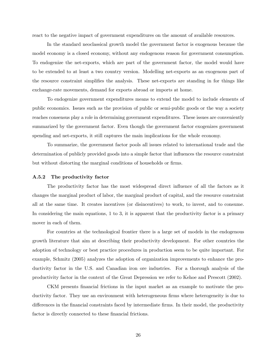react to the negative impact of government expenditures on the amount of available resources.

In the standard neoclassical growth model the government factor is exogenous because the model economy is a closed economy, without any endogenous reason for government consumption. To endogenize the net-exports, which are part of the government factor, the model would have to be extended to at least a two country version. Modelling net-exports as an exogenous part of the resource constraint simplifies the analysis. These net-exports are standing in for things like exchange-rate movements, demand for exports abroad or imports at home.

To endogenize government expenditures means to extend the model to include elements of public economics. Issues such as the provision of public or semi-public goods or the way a society reaches consensus play a role in determining government expenditures. These issues are conveniently summarized by the government factor. Even though the government factor exogenizes government spending and net-exports, it still captures the main implications for the whole economy.

To summarize, the government factor pools all issues related to international trade and the determination of publicly provided goods into a simple factor that influences the resource constraint but without distorting the marginal conditions of households or firms.

#### A.5.2 The productivity factor

The productivity factor has the most widespread direct influence of all the factors as it changes the marginal product of labor, the marginal product of capital, and the resource constraint all at the same time. It creates incentives (or disincentives) to work, to invest, and to consume. In considering the main equations, 1 to 3, it is apparent that the productivity factor is a primary mover in each of them.

For countries at the technological frontier there is a large set of models in the endogenous growth literature that aim at describing their productivity development. For other countries the adoption of technology or best practice procedures in production seem to be quite important. For example, Schmitz (2005) analyzes the adoption of organization improvements to enhance the productivity factor in the U.S. and Canadian iron ore industries. For a thorough analysis of the productivity factor in the context of the Great Depression we refer to Kehoe and Prescott (2002).

CKM presents financial frictions in the input market as an example to motivate the productivity factor. They use an environment with heterogeneous firms where heterogeneity is due to differences in the financial constraints faced by intermediate firms. In their model, the productivity factor is directly connected to these financial frictions.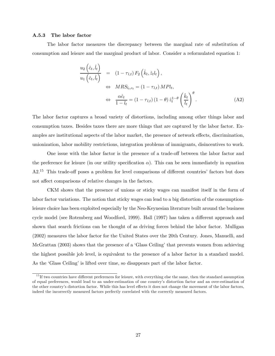#### A.5.3 The labor factor

The labor factor measures the discrepancy between the marginal rate of substitution of consumption and leisure and the marginal product of labor. Consider a reformulated equation 1:

$$
\frac{u_2(\hat{c}_t, \hat{l}_t)}{u_1(\hat{c}_t, \hat{l}_t)} = (1 - \tau_{l,t}) F_2(\hat{k}_t, \hat{z}_t l_t),
$$
\n
$$
\Leftrightarrow \quad MRS_{l_t, c_t} = (1 - \tau_{l,t}) \, MPl_t,
$$
\n
$$
\Leftrightarrow \quad \frac{\alpha \hat{c}_t}{1 - l_t} = (1 - \tau_{l,t}) \, (1 - \theta) \, \hat{z}_t^{1 - \theta} \left(\frac{\hat{k}_t}{l_t}\right)^{\theta}.
$$
\n(A2)

The labor factor captures a broad variety of distortions, including among other things labor and consumption taxes. Besides taxes there are more things that are captured by the labor factor. Examples are institutional aspects of the labor market, the presence of network effects, discrimination, unionization, labor mobility restrictions, integration problems of immigrants, disincentives to work.

One issue with the labor factor is the presence of a trade-off between the labor factor and the preference for leisure (in our utility specification  $\alpha$ ). This can be seen immediately in equation A2.<sup>15</sup> This trade-off poses a problem for level comparisons of different countries' factors but does not affect comparisons of relative changes in the factors.

CKM shows that the presence of unions or sticky wages can manifest itself in the form of labor factor variations. The notion that sticky wages can lead to a big distortion of the consumptionleisure choice has been exploited especially by the Neo-Keynesian literature built around the business cycle model (see Rotemberg and Woodford, 1999). Hall (1997) has taken a different approach and shown that search frictions can be thought of as driving forces behind the labor factor. Mulligan (2002) measures the labor factor for the United States over the 20th Century. Jones, Manuelli, and McGrattan (2003) shows that the presence of a 'Glass Ceiling' that prevents women from achieving the highest possible job level, is equivalent to the presence of a labor factor in a standard model. As the 'Glass Ceiling' is lifted over time, so disappears part of the labor factor.

<sup>&</sup>lt;sup>15</sup> If two countries have different preferences for leisure, with everything else the same, then the standard assumption of equal preferences, would lead to an under-estimation of one country's distortion factor and an over-estimation of the other country's distortion factor. While this has level effects it does not change the movement of the labor factors, indeed the incorrectly measured factors perfectly correlated with the correctly measured factors.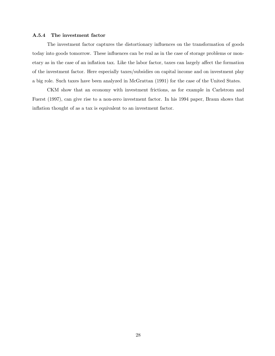#### A.5.4 The investment factor

The investment factor captures the distortionary influences on the transformation of goods today into goods tomorrow. These influences can be real as in the case of storage problems or monetary as in the case of an inflation tax. Like the labor factor, taxes can largely affect the formation of the investment factor. Here especially taxes/subsidies on capital income and on investment play a big role. Such taxes have been analyzed in McGrattan (1991) for the case of the United States.

CKM show that an economy with investment frictions, as for example in Carlstrom and Fuerst (1997), can give rise to a non-zero investment factor. In his 1994 paper, Braun shows that inflation thought of as a tax is equivalent to an investment factor.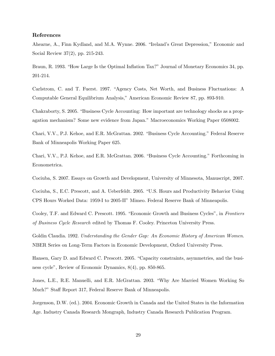#### References

Ahearne, A., Finn Kydland, and M.A. Wynne. 2006. "Ireland's Great Depression," Economic and Social Review 37(2), pp. 215-243.

Braun, R. 1993. "How Large Is the Optimal Inflation Tax?" Journal of Monetary Economics 34, pp. 201-214.

Carlstrom, C. and T. Fuerst. 1997. "Agency Costs, Net Worth, and Business Fluctuations: A Computable General Equilibrium Analysis," American Economic Review 87, pp. 893-910.

Chakraborty, S. 2005. "Business Cycle Accounting: How important are technology shocks as a propagation mechanism? Some new evidence from Japan." Macroeconomics Working Paper 0508002.

Chari, V.V., P.J. Kehoe, and E.R. McGrattan. 2002. "Business Cycle Accounting." Federal Reserve Bank of Minneapolis Working Paper 625.

Chari, V.V., P.J. Kehoe, and E.R. McGrattan. 2006. "Business Cycle Accounting." Forthcoming in Econometrica.

Cociuba, S. 2007. Essays on Growth and Development, University of Minnesota, Manuscript, 2007.

Cociuba, S., E.C. Prescott, and A. Ueberfeldt. 2005. "U.S. Hours and Productivity Behavior Using CPS Hours Worked Data: 1959-I to 2005-II" Mimeo. Federal Reserve Bank of Minneapolis.

Cooley, T.F. and Edward C. Prescott. 1995. "Economic Growth and Business Cycles", in Frontiers of Business Cycle Research edited by Thomas F. Cooley. Princeton University Press.

Goldin Claudia. 1992. Understanding the Gender Gap: An Economic History of American Women. NBER Series on Long-Term Factors in Economic Development, Oxford University Press.

Hansen, Gary D. and Edward C. Prescott. 2005. "Capacity constraints, asymmetries, and the business cycle", Review of Economic Dynamics, 8(4), pp. 850-865.

Jones, L.E., R.E. Manuelli, and E.R. McGrattan. 2003. "Why Are Married Women Working So Much?" Staff Report 317, Federal Reserve Bank of Minneapolis.

Jorgenson, D.W. (ed.). 2004. Economic Growth in Canada and the United States in the Information Age. Industry Canada Research Mongraph, Industry Canada Research Publication Program.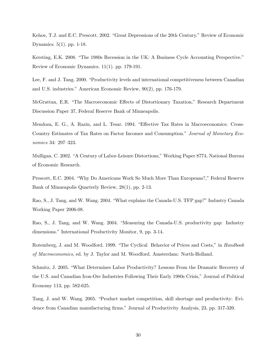Kehoe, T.J. and E.C. Prescott. 2002. "Great Depressions of the 20th Century." Review of Economic Dynamics. 5(1). pp. 1-18.

Kersting, E.K. 2008. "The 1980s Recession in the UK: A Business Cycle Accounting Perspective." Review of Economic Dynamics. 11(1). pp. 179-191.

Lee, F. and J. Tang. 2000. "Productivity levels and international competitiveness between Canadian and U.S. industries." American Economic Review, 90(2), pp. 176-179.

McGrattan, E.R. "The Macroeconomic Effects of Distortionary Taxation," Research Department Discussion Paper 37, Federal Reserve Bank of Minneapolis.

Mendoza, E. G., A. Razin, and L. Tesar. 1994. "Effective Tax Rates in Macroeconomics: Cross-Country Estimates of Tax Rates on Factor Incomes and Consumption." Journal of Monetary Economics 34: 297—323.

Mulligan, C. 2002. "A Century of Labor-Leisure Distortions," Working Paper 8774, National Bureau of Economic Research.

Prescott, E.C. 2004. "Why Do Americans Work So Much More Than Europeans?," Federal Reserve Bank of Minneapolis Quarterly Review, 28(1), pp. 2-13.

Rao, S., J. Tang, and W. Wang. 2004. "What explains the Canada-U.S. TFP gap?" Industry Canada Working Paper 2006-08.

Rao, S., J. Tang, and W. Wang. 2004. "Measuring the Canada-U.S. productivity gap: Industry dimensions." International Productivity Monitor, 9, pp. 3-14.

Rotemberg, J. and M. Woodford. 1999. "The Cyclical Behavior of Prices and Costs," in *Handbook* of Macroeconomics, ed. by J. Taylor and M. Woodford. Amsterdam: North-Holland.

Schmitz, J. 2005. "What Determines Labor Productivity? Lessons From the Dramatic Recovery of the U.S. and Canadian Iron-Ore Industries Following Their Early 1980s Crisis," Journal of Political Economy 113, pp. 582-625.

Tang, J. and W. Wang. 2005. "Product market competition, skill shortage and productivity: Evidence from Canadian manufacturing firms." Journal of Productivity Analysis, 23, pp. 317-339.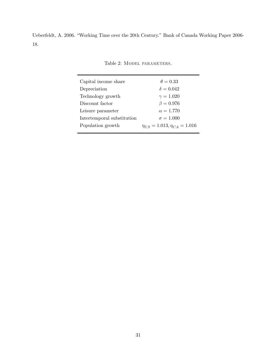Ueberfeldt, A. 2006. "Working Time over the 20th Century." Bank of Canada Working Paper 2006- 18.

Table 2: MODEL PARAMETERS.

| Capital income share       | $\theta = 0.33$                        |
|----------------------------|----------------------------------------|
| Depreciation               | $\delta = 0.042$                       |
| Technology growth          | $\gamma = 1.020$                       |
| Discount factor            | $\beta = 0.976$                        |
| Leisure parameter          | $\alpha = 1.770$                       |
| Intertemporal substitution | $\sigma = 1.000$                       |
| Population growth          | $\eta_{US} = 1.013, \eta_{CA} = 1.016$ |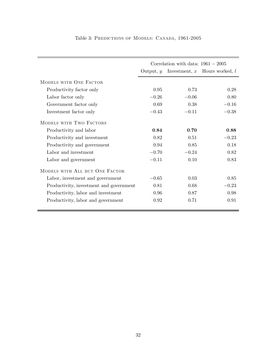|                                         | Correlation with data: $1961 - 2005$ |         |                                   |  |
|-----------------------------------------|--------------------------------------|---------|-----------------------------------|--|
|                                         | Output, $y$                          |         | Investment, $x$ Hours worked, $l$ |  |
| MODELS WITH ONE FACTOR                  |                                      |         |                                   |  |
| Productivity factor only                | 0.95                                 | 0.73    | 0.28                              |  |
| Labor factor only                       | $-0.26$                              | $-0.06$ | 0.80                              |  |
| Government factor only                  | 0.69                                 | 0.38    | $-0.16$                           |  |
| Investment factor only                  | $-0.43$                              | $-0.11$ | $-0.38$                           |  |
| MODELS WITH TWO FACTORS                 |                                      |         |                                   |  |
| Productivity and labor                  | 0.84                                 | 0.70    | 0.88                              |  |
| Productivity and investment             | 0.82                                 | 0.51    | $-0.23$                           |  |
| Productivity and government             | 0.94                                 | 0.85    | 0.18                              |  |
| Labor and investment                    | $-0.70$                              | $-0.24$ | 0.82                              |  |
| Labor and government                    | $-0.11$                              | 0.10    | 0.83                              |  |
| MODELS WITH ALL BUT ONE FACTOR          |                                      |         |                                   |  |
| Labor, investment and government        | $-0.65$                              | 0.03    | 0.85                              |  |
| Productivity, investment and government | 0.81                                 | 0.68    | $-0.23$                           |  |
| Productivity, labor and investment      | 0.96                                 | 0.87    | 0.98                              |  |
| Productivity, labor and government      | 0.92                                 | 0.71    | 0.91                              |  |

### Table 3: Predictions of Models: Canada, 1961-2005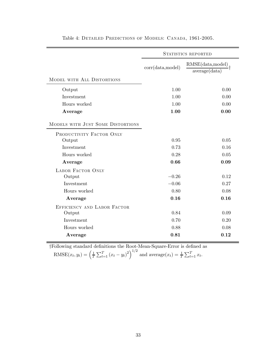|                                   | STATISTICS REPORTED |                                    |  |
|-----------------------------------|---------------------|------------------------------------|--|
|                                   | corr(data, model)   | RMSE(data, model)<br>average(data) |  |
| MODEL WITH ALL DISTORTIONS        |                     |                                    |  |
| Output                            | 1.00                | 0.00                               |  |
| Investment                        | 1.00                | 0.00                               |  |
| Hours worked                      | 1.00                | 0.00                               |  |
| Average                           | 1.00                | 0.00                               |  |
| MODELS WITH JUST SOME DISTORTIONS |                     |                                    |  |
| PRODUCTIVITY FACTOR ONLY          |                     |                                    |  |
| Output                            | 0.95                | 0.05                               |  |
| Investment                        | 0.73                | 0.16                               |  |
| Hours worked                      | 0.28                | 0.05                               |  |
| Average                           | 0.66                | 0.09                               |  |
| <b>LABOR FACTOR ONLY</b>          |                     |                                    |  |
| Output                            | $-0.26$             | 0.12                               |  |
| Investment                        | $-0.06$             | 0.27                               |  |
| Hours worked                      | 0.80                | 0.08                               |  |
| Average                           | 0.16                | 0.16                               |  |
| EFFICIENCY AND LABOR FACTOR       |                     |                                    |  |
| Output                            | 0.84                | 0.09                               |  |
| Investment                        | 0.70                | 0.20                               |  |
| Hours worked                      | 0.88                | 0.08                               |  |
| Average                           | 0.81                | 0.12                               |  |

Table 4: Detailed Predictions of Models: Canada, 1961-2005.

†Following standard definitions the Root-Mean-Square-Error is defined as RMSE $(x_t, y_t) = \left(\frac{1}{T} \sum_{t=1}^T (x_t - y_t)^2\right)^{1/2}$  and  $\text{average}(x_t) = \frac{1}{T} \sum_{t=1}^T x_t$ .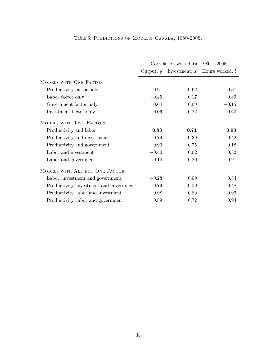|                                         | Correlation with data: $1980 - 2005$ |         |                                   |  |
|-----------------------------------------|--------------------------------------|---------|-----------------------------------|--|
|                                         | Output, $y$                          |         | Investment, $x$ Hours worked, $l$ |  |
| MODELS WITH ONE FACTOR                  |                                      |         |                                   |  |
| Productivity factor only                | 0.91                                 | 0.62    | 0.37                              |  |
| Labor factor only                       | $-0.25$                              | 0.17    | 0.89                              |  |
| Government factor only                  | 0.64                                 | 0.09    | $-0.15$                           |  |
| Investment factor only                  | 0.06                                 | $-0.22$ | $-0.60$                           |  |
| MODELS WITH TWO FACTORS                 |                                      |         |                                   |  |
| Productivity and labor                  | 0.83                                 | 0.71    | 0.93                              |  |
| Productivity and investment             | 0.79                                 | 0.39    | $-0.42$                           |  |
| Productivity and government             | 0.90                                 | 0.75    | 0.18                              |  |
| Labor and investment                    | $-0.40$                              | 0.02    | 0.82                              |  |
| Labor and government                    | $-0.14$                              | 0.20    | 0.91                              |  |
| MODELS WITH ALL BUT ONE FACTOR          |                                      |         |                                   |  |
| Labor, investment and government        | $-0.28$                              | 0.09    | 0.84                              |  |
| Productivity, investment and government | 0.79                                 | 0.50    | $-0.48$                           |  |
| Productivity, labor and investment      | 0.98                                 | 0.89    | 0.99                              |  |
| Productivity, labor and government      | 0.89                                 | 0.72    | 0.94                              |  |

Table 5: PREDICTIONS OF MODELS: CANADA, 1980-2005.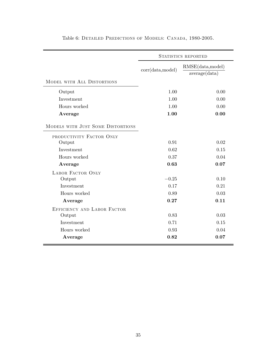|                                   | STATISTICS REPORTED |                   |  |
|-----------------------------------|---------------------|-------------------|--|
|                                   |                     | RMSE(data, model) |  |
|                                   | corr(data, model)   | average(data)     |  |
| MODEL WITH ALL DISTORTIONS        |                     |                   |  |
| Output                            | 1.00                | 0.00              |  |
| Investment                        | 1.00                | 0.00              |  |
| Hours worked                      | 1.00                | 0.00              |  |
| Average                           | 1.00                | 0.00              |  |
| MODELS WITH JUST SOME DISTORTIONS |                     |                   |  |
| PRODUCTIVITY FACTOR ONLY          |                     |                   |  |
| Output                            | 0.91                | 0.02              |  |
| Investment                        | 0.62                | 0.15              |  |
| Hours worked                      | 0.37                | 0.04              |  |
| Average                           | 0.63                | 0.07              |  |
| <b>LABOR FACTOR ONLY</b>          |                     |                   |  |
| Output                            | $-0.25$             | 0.10              |  |
| Investment                        | 0.17                | 0.21              |  |
| Hours worked                      | 0.89                | 0.03              |  |
| Average                           | 0.27                | 0.11              |  |
| EFFICIENCY AND LABOR FACTOR       |                     |                   |  |
| Output                            | 0.83                | 0.03              |  |
| Investment                        | 0.71                | 0.15              |  |
| Hours worked                      | 0.93                | 0.04              |  |
| Average                           | 0.82                | 0.07              |  |

Table 6: Detailed Predictions of Models: Canada, 1980-2005.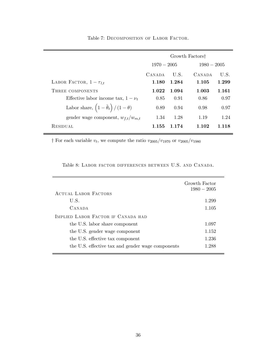|                                                           | Growth Factors <sup>†</sup> |         |               |         |
|-----------------------------------------------------------|-----------------------------|---------|---------------|---------|
|                                                           | $1970 - 2005$               |         | $1980 - 2005$ |         |
|                                                           | <b>CANADA</b>               | U.S.    | CANADA        | U.S.    |
| LABOR FACTOR, $1 - \tau_{l,t}$                            | 1.180                       | 1.284   | 1.105         | 1.299   |
| THREE COMPONENTS                                          | 1.022                       | 1.094   | 1.003         | 1.161   |
| Effective labor income tax, $1 - \nu_t$                   | 0.85                        | 0.91    | 0.86          | 0.97    |
| Labor share, $\left(1-\tilde{\theta}_t\right)/(1-\theta)$ | 0.89                        | 0.94    | 0.98          | 0.97    |
| gender wage component, $w_{f,t}/w_{m,t}$                  | 1.34                        | 1.28    | 1.19          | 1.24    |
| <b>RESIDUAL</b>                                           | 1.155                       | 1 1 7 4 | 1.102         | 1 1 1 8 |

Table 7: DECOMPOSITION OF LABOR FACTOR.

† For each variable  $v_t$ , we compute the ratio  $v_{2005}/v_{1970}$  or  $v_{2005}/v_{1980}$ 

| <b>ACTUAL LABOR FACTORS</b>                       | Growth Factor<br>$1980 - 2005$ |
|---------------------------------------------------|--------------------------------|
| U.S.                                              | 1.299                          |
| CANADA                                            | 1.105                          |
| IMPLIED LABOR FACTOR IF CANADA HAD                |                                |
| the U.S. labor share component                    | 1.097                          |
| the U.S. gender wage component                    | 1.152                          |
| the U.S. effective tax component                  | 1.236                          |
| the U.S. effective tax and gender wage components | 1.288                          |
|                                                   |                                |

Table 8: Labor factor differences between U.S. and Canada.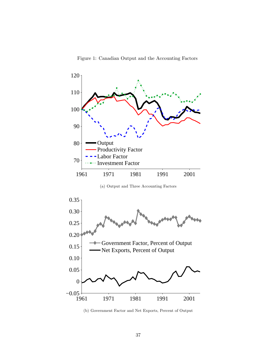

Figure 1: Canadian Output and the Accounting Factors

(b) Government Factor and Net Exports, Percent of Output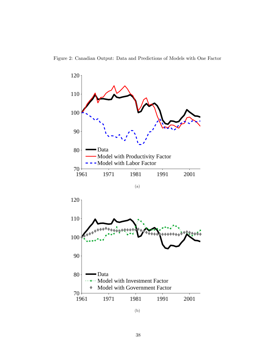



(b)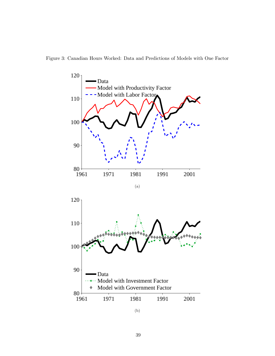

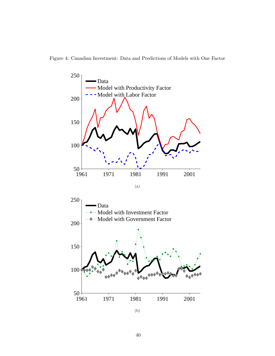Figure 4: Canadian Investment: Data and Predictions of Models with One Factor





(b)

1961 1971 1981 1991 2001

50

100

150

200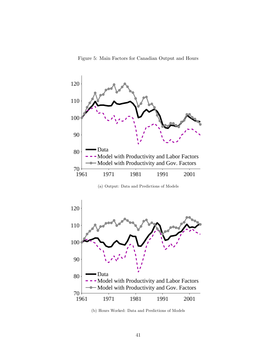Figure 5: Main Factors for Canadian Output and Hours





(b) Hours Worked: Data and Predictions of Models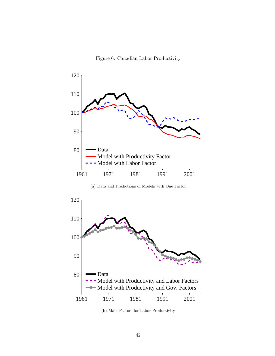Figure 6: Canadian Labor Productivity



(a) Data and Predictions of Models with One Factor



(b) Main Factors for Labor Productivity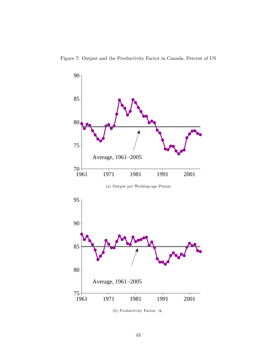



(b) Productivity Factor,  $\mathcal{A}_t$